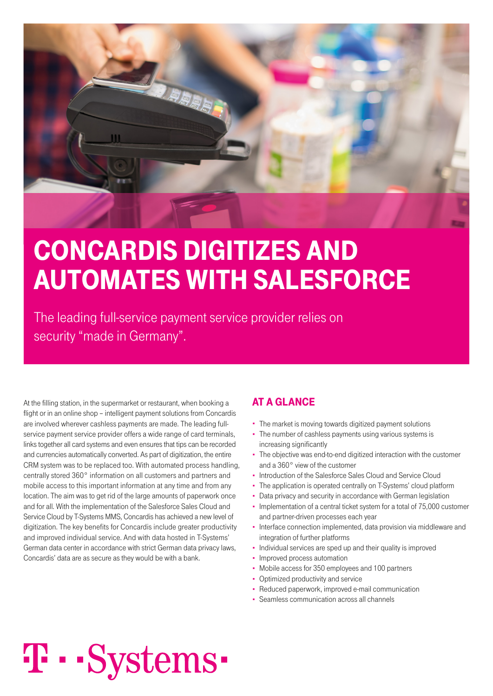

### cOncardiS digiTizeS and aUTOMaTeS wiTh SaleSfOrce

The leading full-service payment service provider relies on security "made in Germany".

At the filling station, in the supermarket or restaurant, when booking a flight or in an online shop – intelligent payment solutions from Concardis are involved wherever cashless payments are made. The leading fullservice payment service provider offers a wide range of card terminals, links together all card systems and even ensures that tips can be recorded and currencies automatically converted. As part of digitization, the entire CRM system was to be replaced too. With automated process handling, centrally stored 360° information on all customers and partners and mobile access to this important information at any time and from any location. The aim was to get rid of the large amounts of paperwork once and for all. With the implementation of the Salesforce Sales Cloud and Service Cloud by T-Systems MMS, Concardis has achieved a new level of digitization. The key benefits for Concardis include greater productivity and improved individual service. And with data hosted in T-Systems' German data center in accordance with strict German data privacy laws, Concardis' data are as secure as they would be with a bank.

### aT a glance

- The market is moving towards digitized payment solutions
- The number of cashless payments using various systems is increasing significantly
- The objective was end-to-end digitized interaction with the customer and a 360° view of the customer
- Introduction of the Salesforce Sales Cloud and Service Cloud
- The application is operated centrally on T-Systems' cloud platform
- Data privacy and security in accordance with German legislation
- Implementation of a central ticket system for a total of 75,000 customer and partner-driven processes each year
- Interface connection implemented, data provision via middleware and integration of further platforms
- Individual services are sped up and their quality is improved
- Improved process automation
- Mobile access for 350 employees and 100 partners
- Optimized productivity and service
	- Reduced paperwork, improved e-mail communication
- Seamless communication across all channels

# **T** · · Systems ·